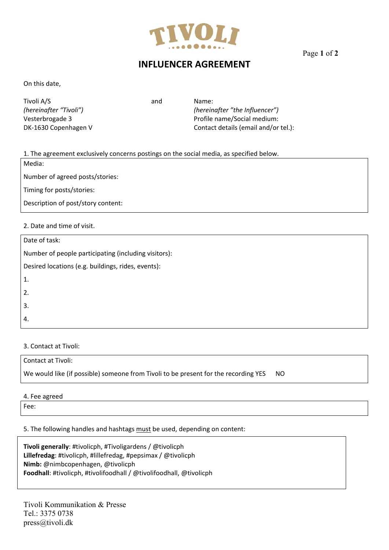

Page **1** of **<sup>2</sup>**

# **INFLUENCER AGREEMENT**

On this date,

Tivoli A/S and Mame:

*(hereinafter "Tivoli") (hereinafter "the Influencer")*  Vesterbrogade 3 Profile name/Social medium: DK‐1630 Copenhagen V Contact details (email and/or tel.):

1. The agreement exclusively concerns postings on the social media, as specified below.

Media:

Number of agreed posts/stories:

Timing for posts/stories:

Description of post/story content:

## 2. Date and time of visit.

| Date of task:                                        |
|------------------------------------------------------|
| Number of people participating (including visitors): |
| Desired locations (e.g. buildings, rides, events):   |
| $\mathbf{1}$ .                                       |
| 2.                                                   |
| 3.                                                   |
| 4.                                                   |
|                                                      |

### 3. Contact at Tivoli:

| Contact at Tivoli:                                                                  |     |
|-------------------------------------------------------------------------------------|-----|
| We would like (if possible) someone from Tivoli to be present for the recording YES | NO. |

### 4. Fee agreed

Fee:

### 5. The following handles and hashtags must be used, depending on content:

**Tivoli generally**: #tivolicph, #Tivoligardens / @tivolicph **Lillefredag**: #tivolicph, #lillefredag, #pepsimax / @tivolicph **Nimb:** @nimbcopenhagen, @tivolicph **Foodhall**: #tivolicph, #tivolifoodhall / @tivolifoodhall, @tivolicph

Tivoli Kommunikation & Presse Tel.: 3375 0738 press@tivoli.dk